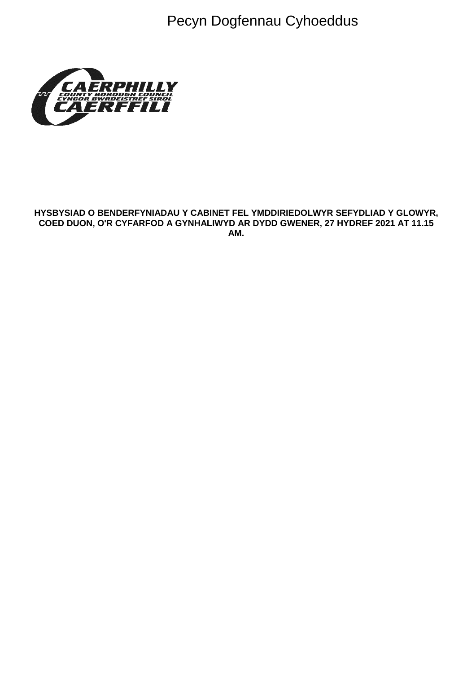Pecyn Dogfennau Cyhoeddus



#### **HYSBYSIAD O BENDERFYNIADAU Y CABINET FEL YMDDIRIEDOLWYR SEFYDLIAD Y GLOWYR, COED DUON, O'R CYFARFOD A GYNHALIWYD AR DYDD GWENER, 27 HYDREF 2021 AT 11.15 AM.**